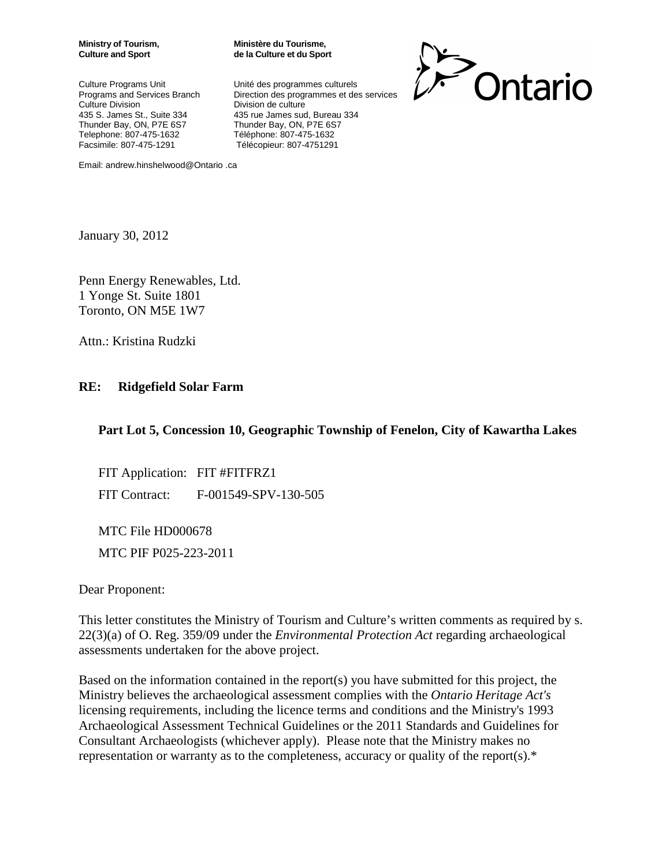Culture Programs Unit Vinité des programmes culturels Telephone: 807-475-1632 Téléphone: 807-475-1632

**Ministry of Tourism, Ministère du Tourisme, Culture and Sport de la Culture et du Sport**

Programs and Services Branch Direction des programmes et des services<br>Culture Division Division de culture Division de culture 435 S. James St., Suite 334 435 rue James sud, Bureau 334<br>Thunder Bay, ON, P7E 6S7 Thunder Bay, ON, P7E 6S7 Thunder Bay, ON, P7E 6S7 Facsimile: 807-475-1291 Télécopieur: 807-4751291



Email: andrew.hinshelwood@Ontario .ca

January 30, 2012

Penn Energy Renewables, Ltd. 1 Yonge St. Suite 1801 Toronto, ON M5E 1W7

Attn.: Kristina Rudzki

#### **RE: Ridgefield Solar Farm**

#### **Part Lot 5, Concession 10, Geographic Township of Fenelon, City of Kawartha Lakes**

FIT Application: FIT #FITFRZ1 FIT Contract: F-001549-SPV-130-505

MTC File HD000678 MTC PIF P025-223-2011

Dear Proponent:

This letter constitutes the Ministry of Tourism and Culture's written comments as required by s. 22(3)(a) of O. Reg. 359/09 under the *Environmental Protection Act* regarding archaeological assessments undertaken for the above project.

Based on the information contained in the report(s) you have submitted for this project, the Ministry believes the archaeological assessment complies with the *Ontario Heritage Act's* licensing requirements, including the licence terms and conditions and the Ministry's 1993 Archaeological Assessment Technical Guidelines or the 2011 Standards and Guidelines for Consultant Archaeologists (whichever apply). Please note that the Ministry makes no representation or warranty as to the completeness, accuracy or quality of the report(s).\*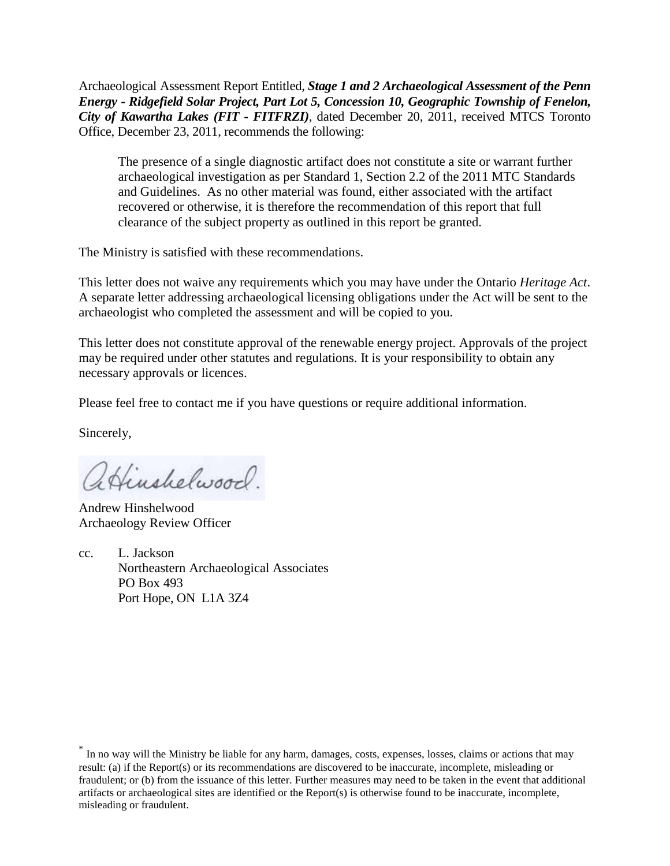Archaeological Assessment Report Entitled*, Stage 1 and 2 Archaeological Assessment of the Penn Energy - Ridgefield Solar Project, Part Lot 5, Concession 10, Geographic Township of Fenelon, City of Kawartha Lakes (FIT - FITFRZI),* dated December 20, 2011, received MTCS Toronto Office, December 23, 2011, recommends the following:

The presence of a single diagnostic artifact does not constitute a site or warrant further archaeological investigation as per Standard 1, Section 2.2 of the 2011 MTC Standards and Guidelines. As no other material was found, either associated with the artifact recovered or otherwise, it is therefore the recommendation of this report that full clearance of the subject property as outlined in this report be granted.

The Ministry is satisfied with these recommendations.

This letter does not waive any requirements which you may have under the Ontario *Heritage Act*. A separate letter addressing archaeological licensing obligations under the Act will be sent to the archaeologist who completed the assessment and will be copied to you.

This letter does not constitute approval of the renewable energy project. Approvals of the project may be required under other statutes and regulations. It is your responsibility to obtain any necessary approvals or licences.

Please feel free to contact me if you have questions or require additional information.

Sincerely,

aHinshelwood.

Andrew Hinshelwood Archaeology Review Officer

cc. L. Jackson Northeastern Archaeological Associates PO Box 493 Port Hope, ON L1A 3Z4

\* In no way will the Ministry be liable for any harm, damages, costs, expenses, losses, claims or actions that may result: (a) if the Report(s) or its recommendations are discovered to be inaccurate, incomplete, misleading or fraudulent; or (b) from the issuance of this letter. Further measures may need to be taken in the event that additional artifacts or archaeological sites are identified or the Report(s) is otherwise found to be inaccurate, incomplete, misleading or fraudulent.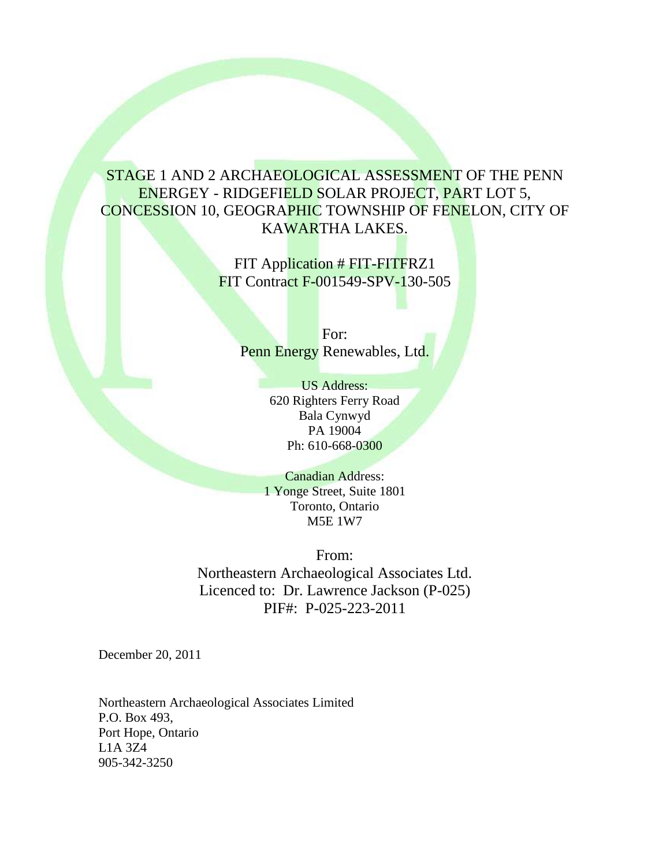# STAGE 1 AND 2 ARCHAEOLOGICAL ASSESSMENT OF THE PENN ENERGEY - RIDGEFIELD SOLAR PROJECT, PART LOT 5, CONCESSION 10, GEOGRAPHIC TOWNSHIP OF FENELON, CITY OF KAWARTHA LAKES.

FIT Application # FIT-FITFRZ1 FIT Contract F-001549-SPV-130-505

For: Penn Energy Renewables, Ltd.

> US Address: 620 Righters Ferry Road Bala Cynwyd PA 19004 Ph: 610-668-0300

Canadian Address: 1 Yonge Street, Suite 1801 Toronto, Ontario M5E 1W7

From: Northeastern Archaeological Associates Ltd. Licenced to: Dr. Lawrence Jackson (P-025) PIF#: P-025-223-2011

December 20, 2011

Northeastern Archaeological Associates Limited P.O. Box 493, Port Hope, Ontario L1A 3Z4 905-342-3250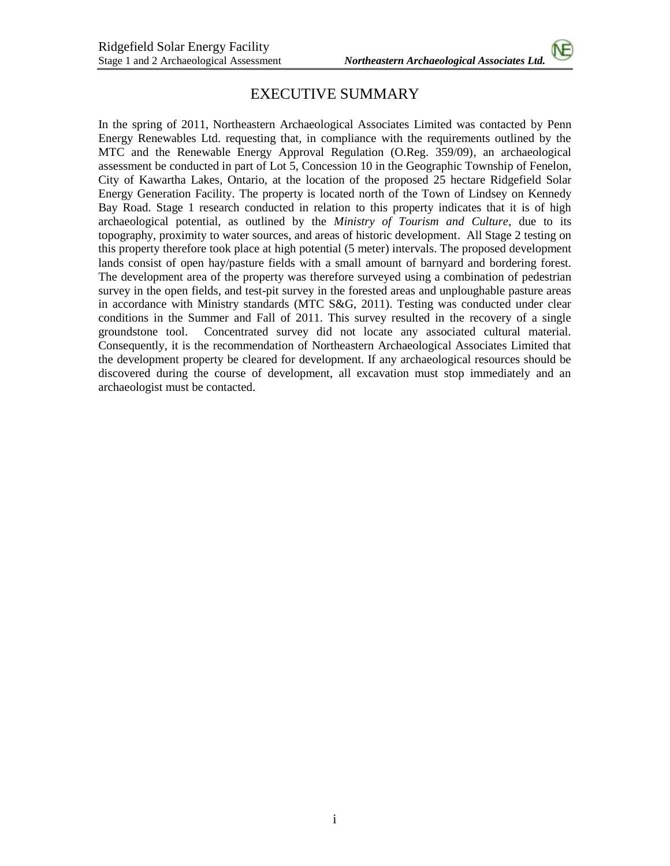## EXECUTIVE SUMMARY

In the spring of 2011, Northeastern Archaeological Associates Limited was contacted by Penn Energy Renewables Ltd. requesting that, in compliance with the requirements outlined by the MTC and the Renewable Energy Approval Regulation (O.Reg. 359/09), an archaeological assessment be conducted in part of Lot 5, Concession 10 in the Geographic Township of Fenelon, City of Kawartha Lakes, Ontario, at the location of the proposed 25 hectare Ridgefield Solar Energy Generation Facility. The property is located north of the Town of Lindsey on Kennedy Bay Road. Stage 1 research conducted in relation to this property indicates that it is of high archaeological potential, as outlined by the *Ministry of Tourism and Culture*, due to its topography, proximity to water sources, and areas of historic development. All Stage 2 testing on this property therefore took place at high potential (5 meter) intervals. The proposed development lands consist of open hay/pasture fields with a small amount of barnyard and bordering forest. The development area of the property was therefore surveyed using a combination of pedestrian survey in the open fields, and test-pit survey in the forested areas and unploughable pasture areas in accordance with Ministry standards (MTC S&G, 2011). Testing was conducted under clear conditions in the Summer and Fall of 2011. This survey resulted in the recovery of a single groundstone tool. Concentrated survey did not locate any associated cultural material. Consequently, it is the recommendation of Northeastern Archaeological Associates Limited that the development property be cleared for development. If any archaeological resources should be discovered during the course of development, all excavation must stop immediately and an archaeologist must be contacted.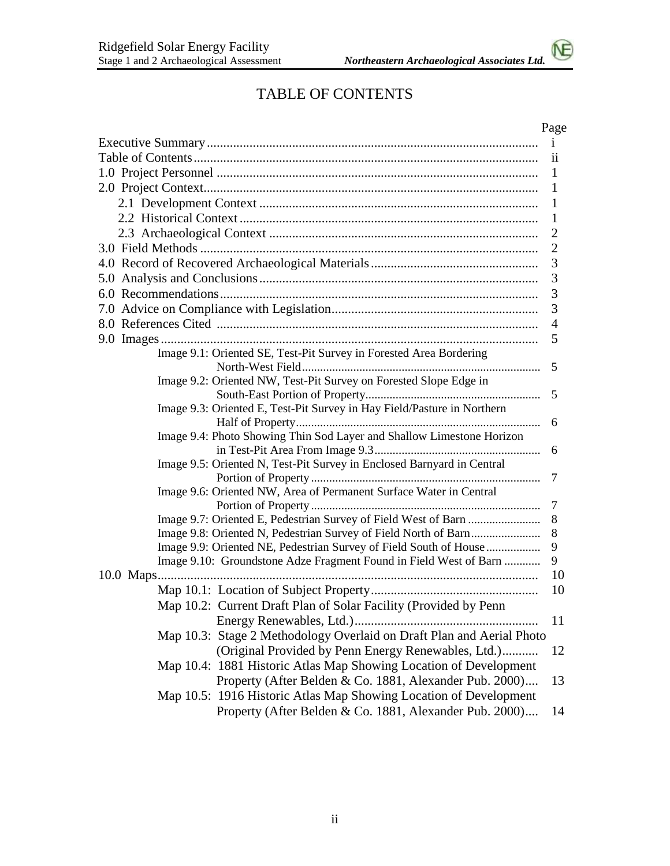# TABLE OF CONTENTS

|                                                                         | Page           |  |
|-------------------------------------------------------------------------|----------------|--|
|                                                                         |                |  |
|                                                                         | 11             |  |
|                                                                         | 1              |  |
|                                                                         | 1              |  |
|                                                                         | 1              |  |
|                                                                         | $\mathbf 1$    |  |
|                                                                         | $\overline{2}$ |  |
|                                                                         | $\overline{c}$ |  |
| 3                                                                       |                |  |
|                                                                         | 3              |  |
|                                                                         | 3              |  |
|                                                                         | 3              |  |
|                                                                         | $\overline{4}$ |  |
|                                                                         | 5              |  |
| Image 9.1: Oriented SE, Test-Pit Survey in Forested Area Bordering      |                |  |
|                                                                         | 5              |  |
| Image 9.2: Oriented NW, Test-Pit Survey on Forested Slope Edge in       |                |  |
|                                                                         | 5              |  |
| Image 9.3: Oriented E, Test-Pit Survey in Hay Field/Pasture in Northern |                |  |
|                                                                         | 6              |  |
| Image 9.4: Photo Showing Thin Sod Layer and Shallow Limestone Horizon   |                |  |
|                                                                         | 6              |  |
| Image 9.5: Oriented N, Test-Pit Survey in Enclosed Barnyard in Central  | 7              |  |
| Image 9.6: Oriented NW, Area of Permanent Surface Water in Central      |                |  |
|                                                                         | $\overline{7}$ |  |
|                                                                         | 8              |  |
|                                                                         | 8              |  |
| Image 9.9: Oriented NE, Pedestrian Survey of Field South of House       | 9              |  |
| Image 9.10: Groundstone Adze Fragment Found in Field West of Barn       | 9              |  |
|                                                                         | 10             |  |
|                                                                         | 10             |  |
| Map 10.2: Current Draft Plan of Solar Facility (Provided by Penn        |                |  |
|                                                                         | 11             |  |
| Map 10.3: Stage 2 Methodology Overlaid on Draft Plan and Aerial Photo   |                |  |
| (Original Provided by Penn Energy Renewables, Ltd.)                     | 12             |  |
| Map 10.4: 1881 Historic Atlas Map Showing Location of Development       |                |  |
| Property (After Belden & Co. 1881, Alexander Pub. 2000)                 | 13             |  |
| Map 10.5: 1916 Historic Atlas Map Showing Location of Development       |                |  |
| Property (After Belden & Co. 1881, Alexander Pub. 2000)                 | 14             |  |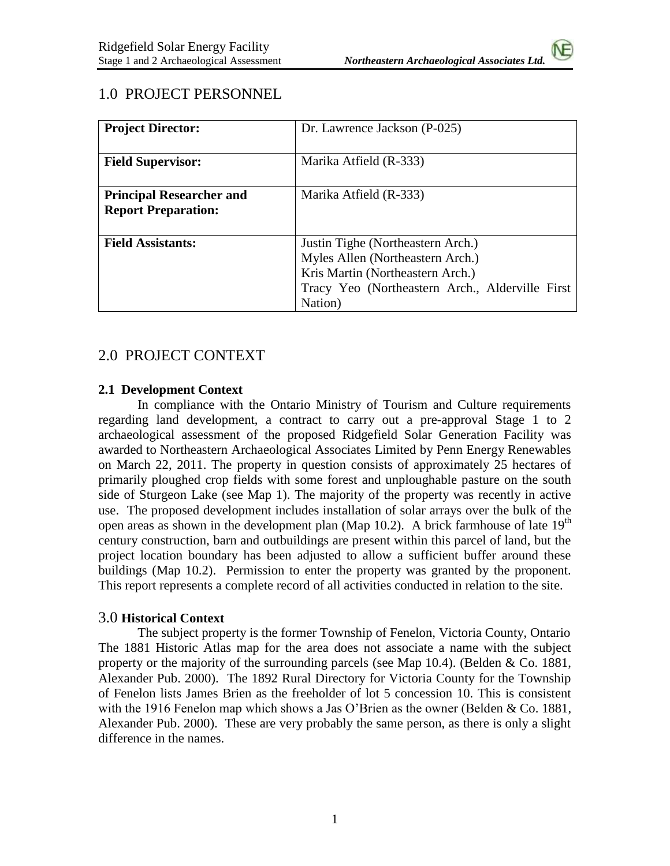## 1.0 PROJECT PERSONNEL

| <b>Project Director:</b>        | Dr. Lawrence Jackson (P-025)                    |
|---------------------------------|-------------------------------------------------|
|                                 |                                                 |
| <b>Field Supervisor:</b>        | Marika Atfield (R-333)                          |
|                                 |                                                 |
| <b>Principal Researcher and</b> | Marika Atfield (R-333)                          |
| <b>Report Preparation:</b>      |                                                 |
|                                 |                                                 |
| <b>Field Assistants:</b>        | Justin Tighe (Northeastern Arch.)               |
|                                 | Myles Allen (Northeastern Arch.)                |
|                                 | Kris Martin (Northeastern Arch.)                |
|                                 | Tracy Yeo (Northeastern Arch., Alderville First |
|                                 | Nation)                                         |

## 2.0 PROJECT CONTEXT

#### **2.1 Development Context**

In compliance with the Ontario Ministry of Tourism and Culture requirements regarding land development, a contract to carry out a pre-approval Stage 1 to 2 archaeological assessment of the proposed Ridgefield Solar Generation Facility was awarded to Northeastern Archaeological Associates Limited by Penn Energy Renewables on March 22, 2011. The property in question consists of approximately 25 hectares of primarily ploughed crop fields with some forest and unploughable pasture on the south side of Sturgeon Lake (see Map 1). The majority of the property was recently in active use. The proposed development includes installation of solar arrays over the bulk of the open areas as shown in the development plan (Map 10.2). A brick farmhouse of late  $19<sup>th</sup>$ century construction, barn and outbuildings are present within this parcel of land, but the project location boundary has been adjusted to allow a sufficient buffer around these buildings (Map 10.2). Permission to enter the property was granted by the proponent. This report represents a complete record of all activities conducted in relation to the site.

## 3.0 **Historical Context**

The subject property is the former Township of Fenelon, Victoria County, Ontario The 1881 Historic Atlas map for the area does not associate a name with the subject property or the majority of the surrounding parcels (see Map 10.4). (Belden & Co. 1881, Alexander Pub. 2000). The 1892 Rural Directory for Victoria County for the Township of Fenelon lists James Brien as the freeholder of lot 5 concession 10. This is consistent with the 1916 Fenelon map which shows a Jas O'Brien as the owner (Belden & Co. 1881, Alexander Pub. 2000). These are very probably the same person, as there is only a slight difference in the names.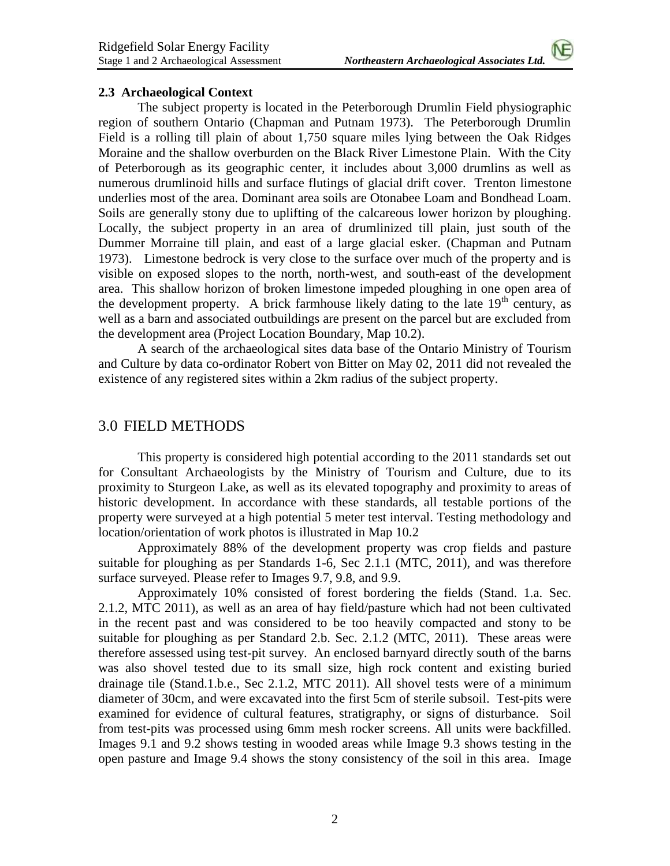#### **2.3 Archaeological Context**

The subject property is located in the Peterborough Drumlin Field physiographic region of southern Ontario (Chapman and Putnam 1973). The Peterborough Drumlin Field is a rolling till plain of about 1,750 square miles lying between the Oak Ridges Moraine and the shallow overburden on the Black River Limestone Plain. With the City of Peterborough as its geographic center, it includes about 3,000 drumlins as well as numerous drumlinoid hills and surface flutings of glacial drift cover. Trenton limestone underlies most of the area. Dominant area soils are Otonabee Loam and Bondhead Loam. Soils are generally stony due to uplifting of the calcareous lower horizon by ploughing. Locally, the subject property in an area of drumlinized till plain, just south of the Dummer Morraine till plain, and east of a large glacial esker. (Chapman and Putnam 1973). Limestone bedrock is very close to the surface over much of the property and is visible on exposed slopes to the north, north-west, and south-east of the development area. This shallow horizon of broken limestone impeded ploughing in one open area of the development property. A brick farmhouse likely dating to the late  $19<sup>th</sup>$  century, as well as a barn and associated outbuildings are present on the parcel but are excluded from the development area (Project Location Boundary, Map 10.2).

A search of the archaeological sites data base of the Ontario Ministry of Tourism and Culture by data co-ordinator Robert von Bitter on May 02, 2011 did not revealed the existence of any registered sites within a 2km radius of the subject property.

## 3.0 FIELD METHODS

This property is considered high potential according to the 2011 standards set out for Consultant Archaeologists by the Ministry of Tourism and Culture, due to its proximity to Sturgeon Lake, as well as its elevated topography and proximity to areas of historic development. In accordance with these standards, all testable portions of the property were surveyed at a high potential 5 meter test interval. Testing methodology and location/orientation of work photos is illustrated in Map 10.2

Approximately 88% of the development property was crop fields and pasture suitable for ploughing as per Standards 1-6, Sec 2.1.1 (MTC, 2011), and was therefore surface surveyed. Please refer to Images 9.7, 9.8, and 9.9.

Approximately 10% consisted of forest bordering the fields (Stand. 1.a. Sec. 2.1.2, MTC 2011), as well as an area of hay field/pasture which had not been cultivated in the recent past and was considered to be too heavily compacted and stony to be suitable for ploughing as per Standard 2.b. Sec. 2.1.2 (MTC, 2011). These areas were therefore assessed using test-pit survey. An enclosed barnyard directly south of the barns was also shovel tested due to its small size, high rock content and existing buried drainage tile (Stand.1.b.e., Sec 2.1.2, MTC 2011). All shovel tests were of a minimum diameter of 30cm, and were excavated into the first 5cm of sterile subsoil. Test-pits were examined for evidence of cultural features, stratigraphy, or signs of disturbance. Soil from test-pits was processed using 6mm mesh rocker screens. All units were backfilled. Images 9.1 and 9.2 shows testing in wooded areas while Image 9.3 shows testing in the open pasture and Image 9.4 shows the stony consistency of the soil in this area. Image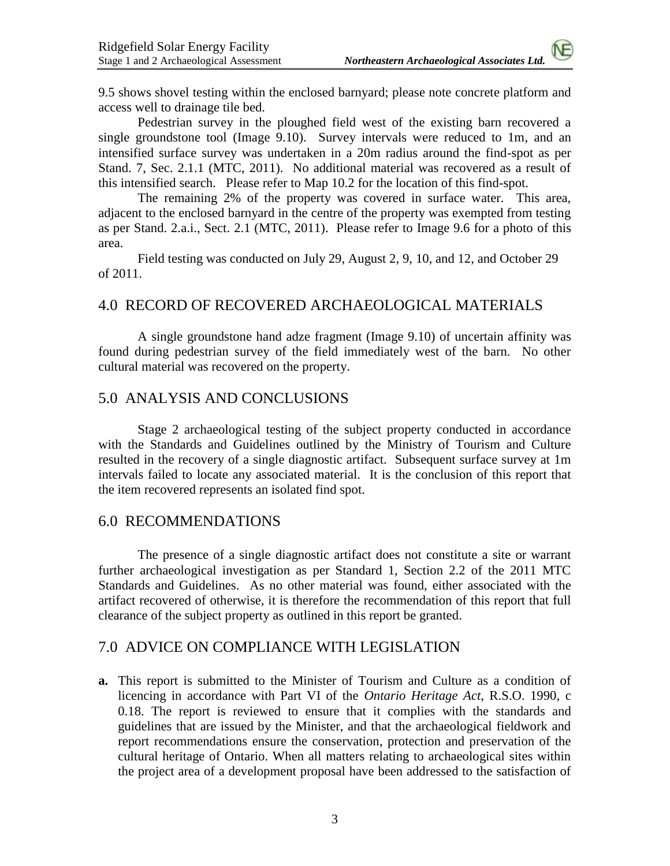9.5 shows shovel testing within the enclosed barnyard; please note concrete platform and access well to drainage tile bed.

Pedestrian survey in the ploughed field west of the existing barn recovered a single groundstone tool (Image 9.10). Survey intervals were reduced to 1m, and an intensified surface survey was undertaken in a 20m radius around the find-spot as per Stand. 7, Sec. 2.1.1 (MTC, 2011). No additional material was recovered as a result of this intensified search. Please refer to Map 10.2 for the location of this find-spot.

The remaining 2% of the property was covered in surface water. This area, adjacent to the enclosed barnyard in the centre of the property was exempted from testing as per Stand. 2.a.i., Sect. 2.1 (MTC, 2011). Please refer to Image 9.6 for a photo of this area.

Field testing was conducted on July 29, August 2, 9, 10, and 12, and October 29 of 2011.

## 4.0 RECORD OF RECOVERED ARCHAEOLOGICAL MATERIALS

A single groundstone hand adze fragment (Image 9.10) of uncertain affinity was found during pedestrian survey of the field immediately west of the barn. No other cultural material was recovered on the property.

## 5.0 ANALYSIS AND CONCLUSIONS

Stage 2 archaeological testing of the subject property conducted in accordance with the Standards and Guidelines outlined by the Ministry of Tourism and Culture resulted in the recovery of a single diagnostic artifact. Subsequent surface survey at 1m intervals failed to locate any associated material. It is the conclusion of this report that the item recovered represents an isolated find spot.

## 6.0 RECOMMENDATIONS

The presence of a single diagnostic artifact does not constitute a site or warrant further archaeological investigation as per Standard 1, Section 2.2 of the 2011 MTC Standards and Guidelines. As no other material was found, either associated with the artifact recovered of otherwise, it is therefore the recommendation of this report that full clearance of the subject property as outlined in this report be granted.

## 7.0 ADVICE ON COMPLIANCE WITH LEGISLATION

**a.** This report is submitted to the Minister of Tourism and Culture as a condition of licencing in accordance with Part VI of the *Ontario Heritage Act*, R.S.O. 1990, c 0.18. The report is reviewed to ensure that it complies with the standards and guidelines that are issued by the Minister, and that the archaeological fieldwork and report recommendations ensure the conservation, protection and preservation of the cultural heritage of Ontario. When all matters relating to archaeological sites within the project area of a development proposal have been addressed to the satisfaction of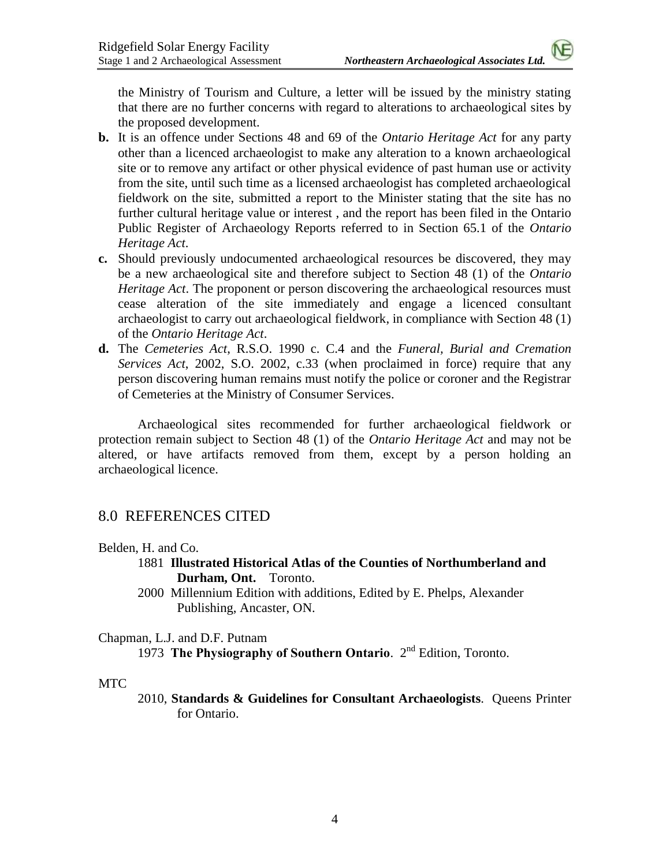the Ministry of Tourism and Culture, a letter will be issued by the ministry stating that there are no further concerns with regard to alterations to archaeological sites by the proposed development.

- **b.** It is an offence under Sections 48 and 69 of the *Ontario Heritage Act* for any party other than a licenced archaeologist to make any alteration to a known archaeological site or to remove any artifact or other physical evidence of past human use or activity from the site, until such time as a licensed archaeologist has completed archaeological fieldwork on the site, submitted a report to the Minister stating that the site has no further cultural heritage value or interest , and the report has been filed in the Ontario Public Register of Archaeology Reports referred to in Section 65.1 of the *Ontario Heritage Act*.
- **c.** Should previously undocumented archaeological resources be discovered, they may be a new archaeological site and therefore subject to Section 48 (1) of the *Ontario Heritage Act*. The proponent or person discovering the archaeological resources must cease alteration of the site immediately and engage a licenced consultant archaeologist to carry out archaeological fieldwork, in compliance with Section 48 (1) of the *Ontario Heritage Act*.
- **d.** The *Cemeteries Act*, R.S.O. 1990 c. C.4 and the *Funeral, Burial and Cremation Services Act*, 2002, S.O. 2002, c.33 (when proclaimed in force) require that any person discovering human remains must notify the police or coroner and the Registrar of Cemeteries at the Ministry of Consumer Services.

Archaeological sites recommended for further archaeological fieldwork or protection remain subject to Section 48 (1) of the *Ontario Heritage Act* and may not be altered, or have artifacts removed from them, except by a person holding an archaeological licence.

# 8.0 REFERENCES CITED

## Belden, H. and Co.

- 1881 **Illustrated Historical Atlas of the Counties of Northumberland and Durham, Ont.** Toronto.
- 2000 Millennium Edition with additions, Edited by E. Phelps, Alexander Publishing, Ancaster, ON.

## Chapman, L.J. and D.F. Putnam

1973 **The Physiography of Southern Ontario**. 2nd Edition, Toronto.

## MTC

2010, **Standards & Guidelines for Consultant Archaeologists**. Queens Printer for Ontario.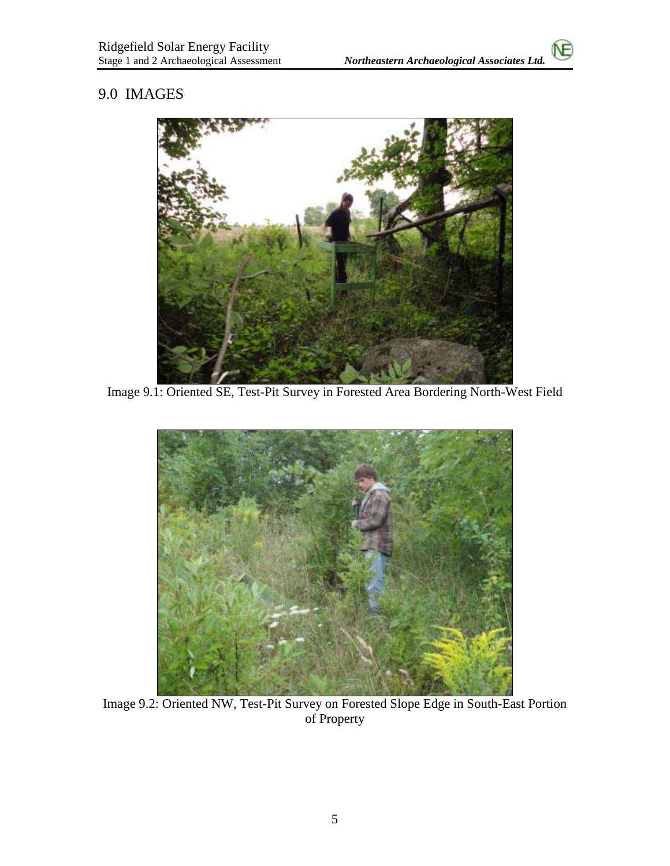# 9.0 IMAGES



Image 9.1: Oriented SE, Test-Pit Survey in Forested Area Bordering North-West Field



Image 9.2: Oriented NW, Test-Pit Survey on Forested Slope Edge in South-East Portion of Property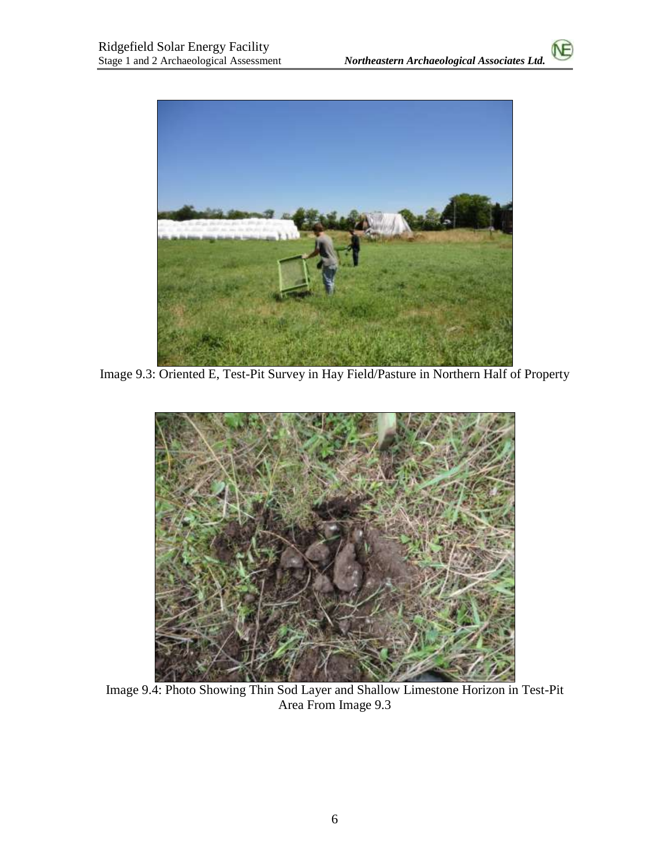

Image 9.3: Oriented E, Test-Pit Survey in Hay Field/Pasture in Northern Half of Property



Image 9.4: Photo Showing Thin Sod Layer and Shallow Limestone Horizon in Test-Pit Area From Image 9.3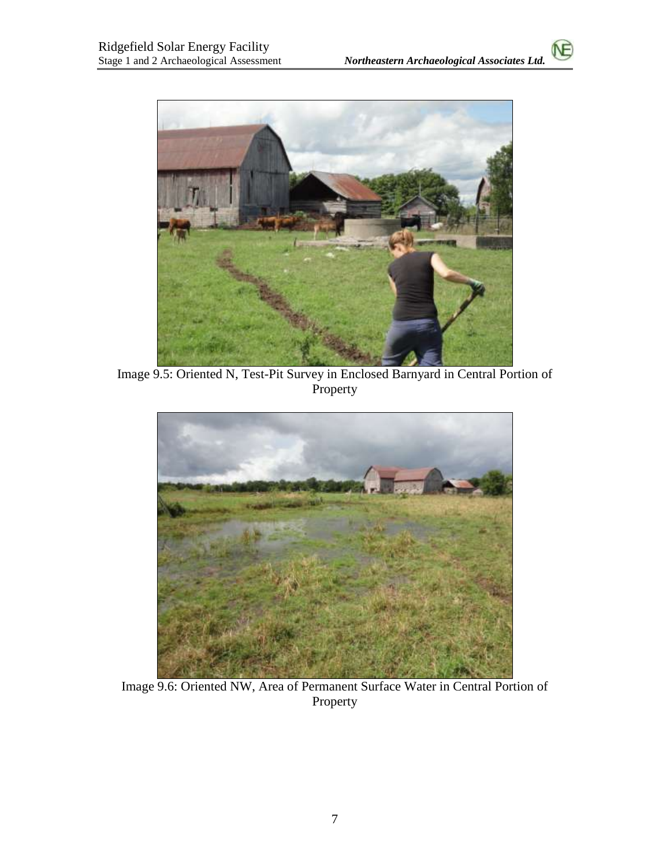

Image 9.5: Oriented N, Test-Pit Survey in Enclosed Barnyard in Central Portion of Property



Image 9.6: Oriented NW, Area of Permanent Surface Water in Central Portion of Property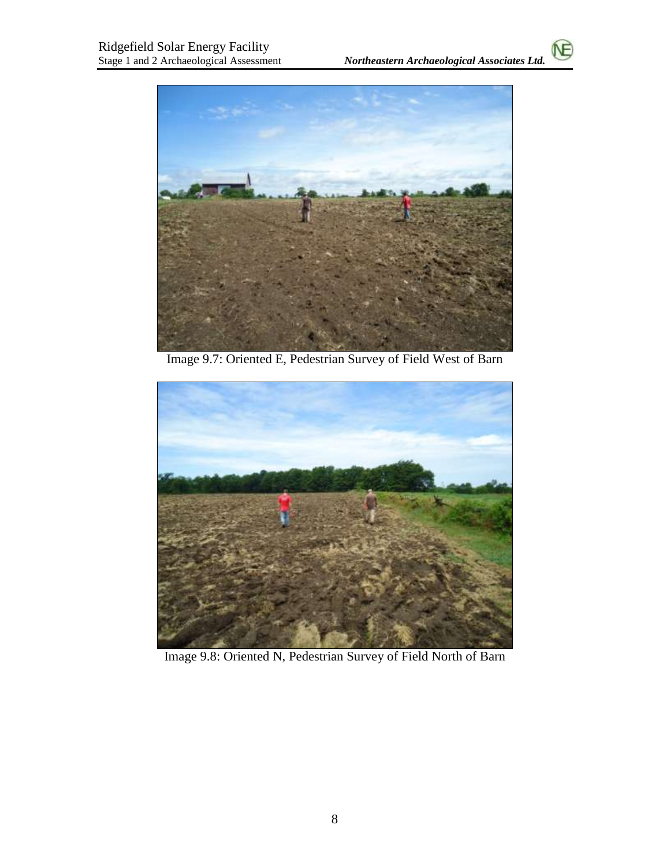۱F



Image 9.7: Oriented E, Pedestrian Survey of Field West of Barn



Image 9.8: Oriented N, Pedestrian Survey of Field North of Barn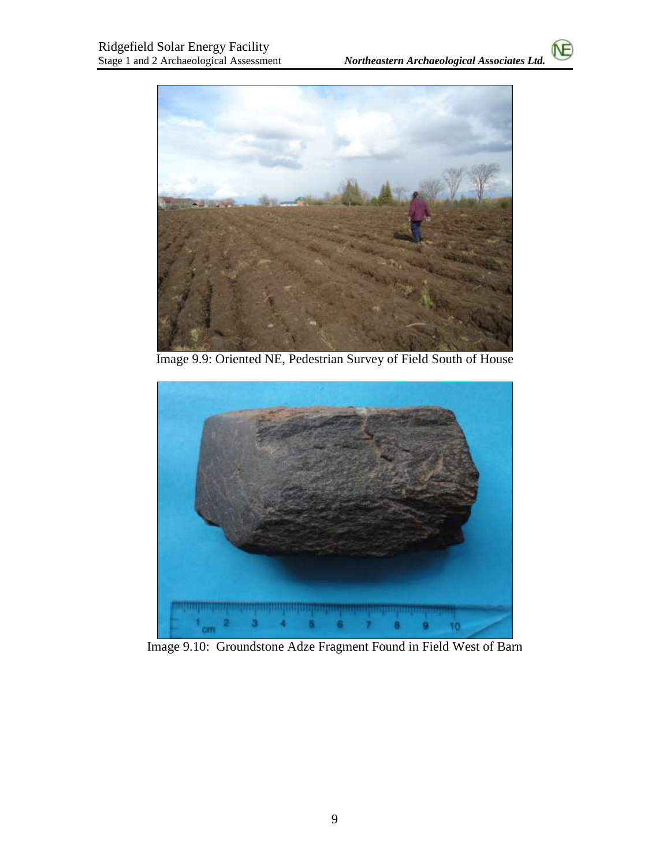

Image 9.9: Oriented NE, Pedestrian Survey of Field South of House



Image 9.10: Groundstone Adze Fragment Found in Field West of Barn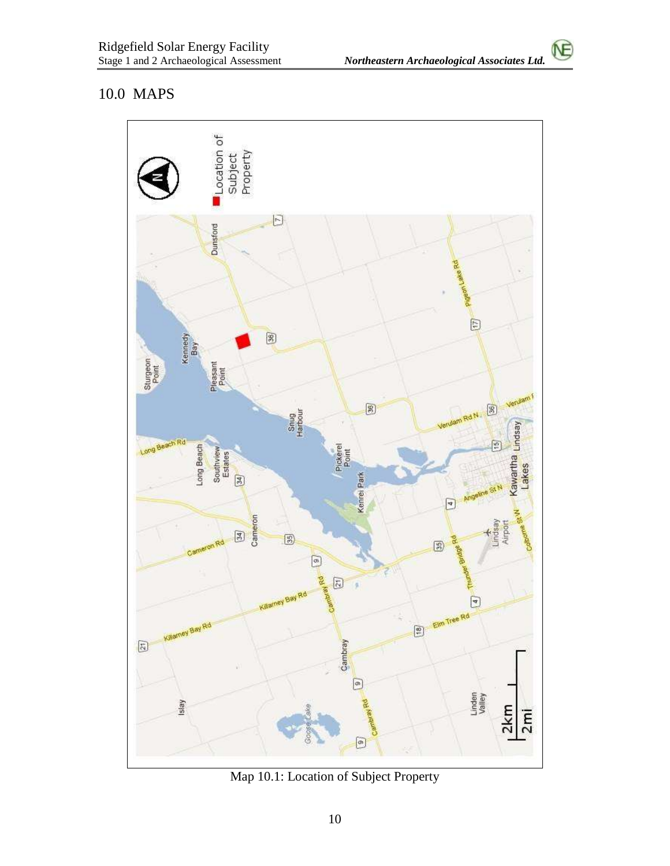ΛÈ

# 10.0 MAPS



Map 10.1: Location of Subject Property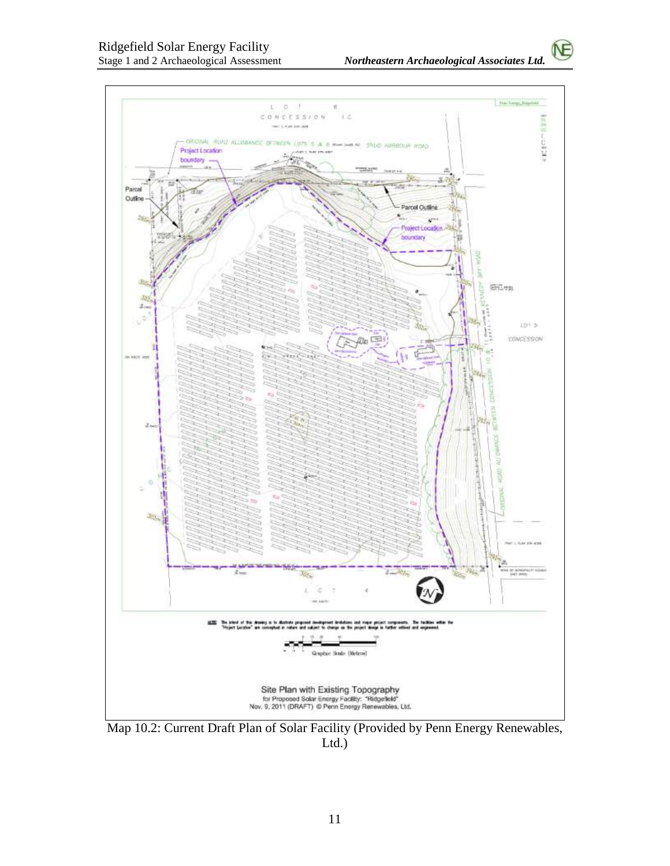ŃΕ



Map 10.2: Current Draft Plan of Solar Facility (Provided by Penn Energy Renewables, Ltd.)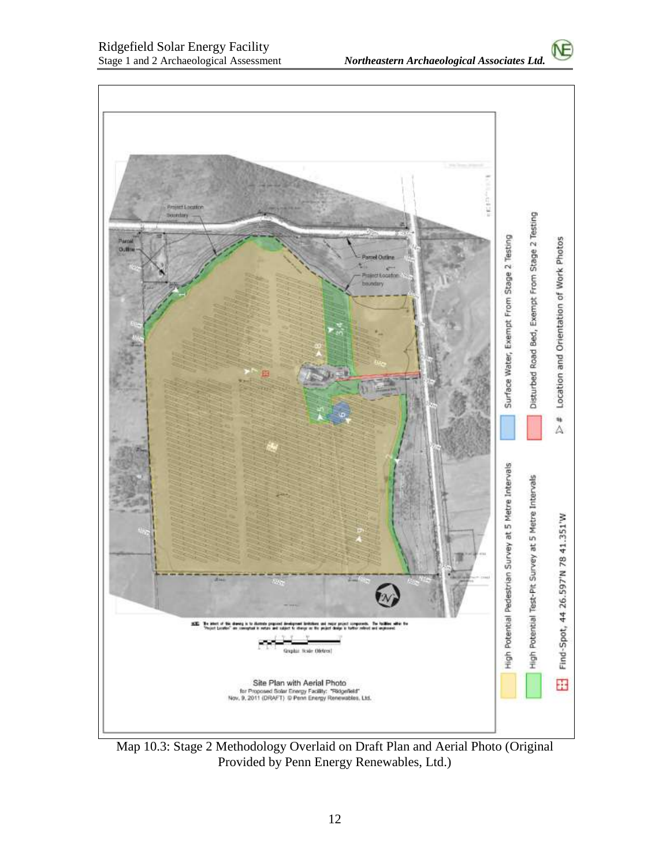١F



Map 10.3: Stage 2 Methodology Overlaid on Draft Plan and Aerial Photo (Original Provided by Penn Energy Renewables, Ltd.)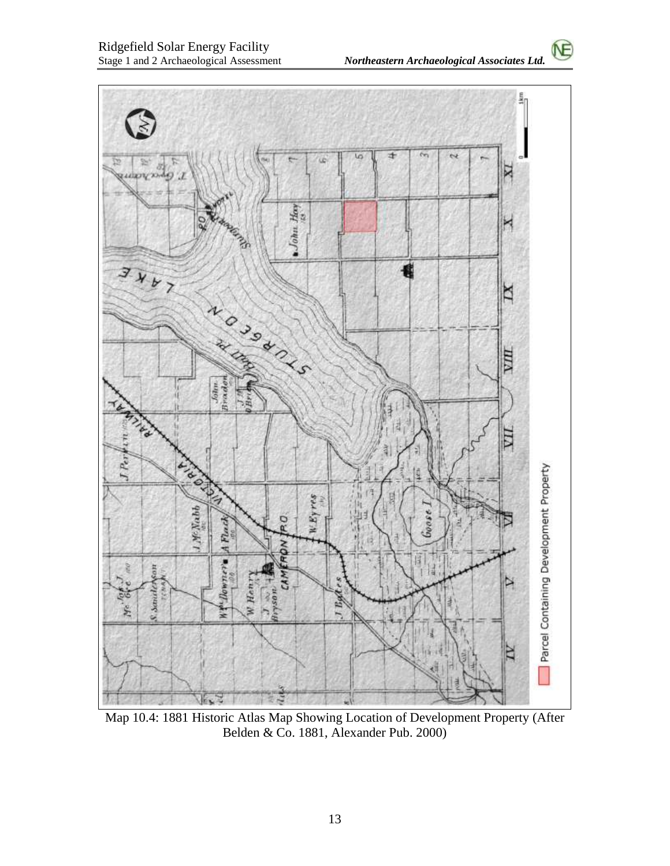

Map 10.4: 1881 Historic Atlas Map Showing Location of Development Property (After Belden & Co. 1881, Alexander Pub. 2000)